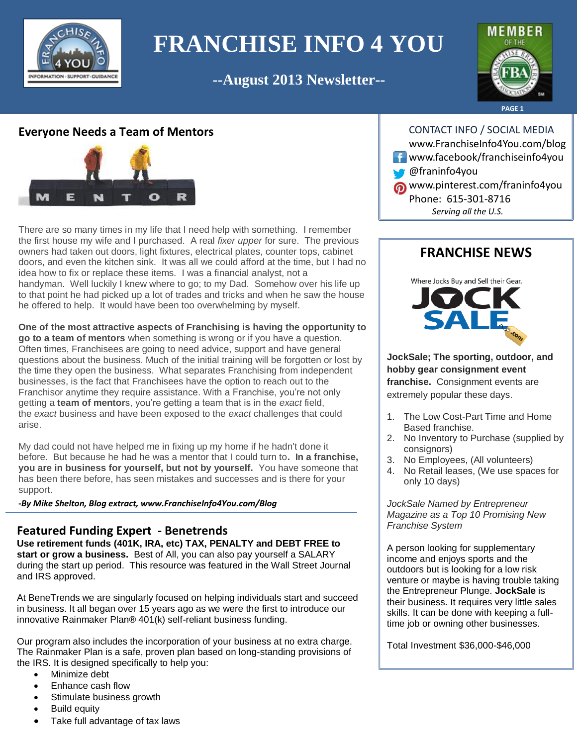

# **FRANCHISE INFO 4 YOU**

# **--August 2013 Newsletter--**



#### **Everyone Needs a Team of Mentors**



There are so many times in my life that I need help with something. I remember the first house my wife and I purchased. A real *fixer upper* for sure. The previous owners had taken out doors, light fixtures, electrical plates, counter tops, cabinet doors, and even the kitchen sink. It was all we could afford at the time, but I had no idea how to fix or replace these items. I was a financial analyst, not a handyman. Well luckily I knew where to go; to my Dad. Somehow over his life up to that point he had picked up a lot of trades and tricks and when he saw the house he offered to help. It would have been too overwhelming by myself.

**One of the most attractive aspects of Franchising is having the opportunity to go to a team of mentors** when something is wrong or if you have a question. Often times, Franchisees are going to need advice, support and have general questions about the business. Much of the initial training will be forgotten or lost by the time they open the business. What separates Franchising from independent businesses, is the fact that Franchisees have the option to reach out to the Franchisor anytime they require assistance. With a Franchise, you're not only getting a **team of mentor**s, you're getting a team that is in the *exact* field, the *exact* business and have been exposed to the *exact* challenges that could arise.

My dad could not have helped me in fixing up my home if he hadn't done it before. But because he had he was a mentor that I could turn to**. In a franchise, you are in business for yourself, but not by yourself.** You have someone that has been there before, has seen mistakes and successes and is there for your support.

**-***By Mike Shelton, Blog extract, www.FranchiseInfo4You.com/Blog*

### **Featured Funding Expert - Benetrends**

**Use retirement funds (401K, IRA, etc) TAX, PENALTY and DEBT FREE to start or grow a business.** Best of All, you can also pay yourself a SALARY during the start up period. This resource was featured in the Wall Street Journal and IRS approved.

At BeneTrends we are singularly focused on helping individuals start and succeed in business. It all began over 15 years ago as we were the first to introduce our innovative Rainmaker Plan® 401(k) self-reliant business funding.

Our program also includes the incorporation of your business at no extra charge. The Rainmaker Plan is a safe, proven plan based on long-standing provisions of the IRS. It is designed specifically to help you:

- Minimize debt
- Enhance cash flow
- Stimulate business growth
- Build equity
- Take full advantage of tax laws

#### CONTACT INFO / SOCIAL MEDIA www.FranchiseInfo4You.com/blog **f** www.facebook/franchiseinfo4you @franinfo4you [www.pinterest.com/franinfo4you](http://www.pinterest.com/franinfo4you) Phone: 615-301-8716  *Serving all the U.S.*

# **FRANCHISE NEWS**

Where Jocks Buy and Sell their Gear.

**JockSale; The sporting, outdoor, and hobby gear consignment event franchise.** Consignment events are extremely popular these days.

- 1. The Low Cost-Part Time and Home Based franchise.
- 2. No Inventory to Purchase (supplied by consignors)
- 3. No Employees, (All volunteers)
- 4. No Retail leases, (We use spaces for only 10 days)

*JockSale Named by Entrepreneur Magazine as a Top 10 Promising New Franchise System*

A person looking for supplementary income and enjoys sports and the outdoors but is looking for a low risk venture or maybe is having trouble taking the Entrepreneur Plunge. **JockSale** is their business. It requires very little sales skills. It can be done with keeping a fulltime job or owning other businesses.

Total Investment \$36,000-\$46,000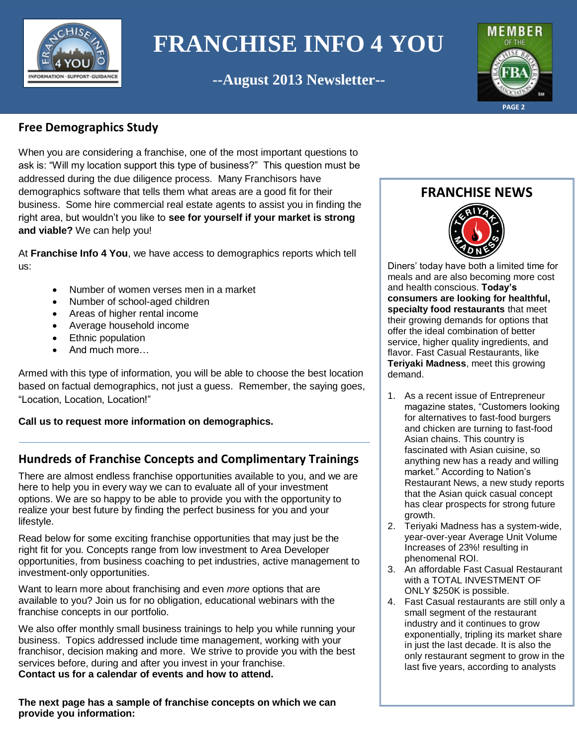

# **FRANCHISE INFO 4 YOU**

**--August 2013 Newsletter--**



### **Free Demographics Study**

When you are considering a franchise, one of the most important questions to ask is: "Will my location support this type of business?" This question must be addressed during the due diligence process. Many Franchisors have demographics software that tells them what areas are a good fit for their business. Some hire commercial real estate agents to assist you in finding the right area, but wouldn't you like to **see for yourself if your market is strong and viable?** We can help you!

At **Franchise Info 4 You**, we have access to demographics reports which tell us:

- Number of women verses men in a market
- Number of school-aged children
- Areas of higher rental income
- Average household income
- Ethnic population
- And much more…

Armed with this type of information, you will be able to choose the best location based on factual demographics, not just a guess. Remember, the saying goes, "Location, Location, Location!"

#### **Call us to request more information on demographics.**

### **Hundreds of Franchise Concepts and Complimentary Trainings**

There are almost endless franchise opportunities available to you, and we are here to help you in every way we can to evaluate all of your investment options. We are so happy to be able to provide you with the opportunity to realize your best future by finding the perfect business for you and your lifestyle.

Read below for some exciting franchise opportunities that may just be the right fit for you. Concepts range from low investment to Area Developer opportunities, from business coaching to pet industries, active management to investment-only opportunities.

Want to learn more about franchising and even *more* options that are available to you? Join us for no obligation, educational webinars with the franchise concepts in our portfolio.

We also offer monthly small business trainings to help you while running your business. Topics addressed include time management, working with your franchisor, decision making and more. We strive to provide you with the best services before, during and after you invest in your franchise. **Contact us for a calendar of events and how to attend.**

**The next page has a sample of franchise concepts on which we can provide you information:**

# **FRANCHISE NEWS**



 $\overline{a}$ Diners' today have both a limited time for meals and are also becoming more cost and health conscious. **Today's consumers are looking for healthful, specialty food restaurants** that meet their growing demands for options that offer the ideal combination of better service, higher quality ingredients, and flavor. Fast Casual Restaurants, like **Teriyaki Madness**, meet this growing demand.

- 1. As a recent issue of Entrepreneur magazine states, "Customers looking for alternatives to fast-food burgers and chicken are turning to fast-food Asian chains. This country is fascinated with Asian cuisine, so anything new has a ready and willing market." According to Nation's Restaurant News, a new study reports that the Asian quick casual concept has clear prospects for strong future growth.
- 2. Teriyaki Madness has a system-wide, year-over-year Average Unit Volume Increases of 23%! resulting in phenomenal ROI.
- 3. An affordable Fast Casual Restaurant with a TOTAL INVESTMENT OF ONLY \$250K is possible.
- 4. Fast Casual restaurants are still only a small segment of the restaurant industry and it continues to grow exponentially, tripling its market share in just the last decade. It is also the only restaurant segment to grow in the last five years, according to analysts